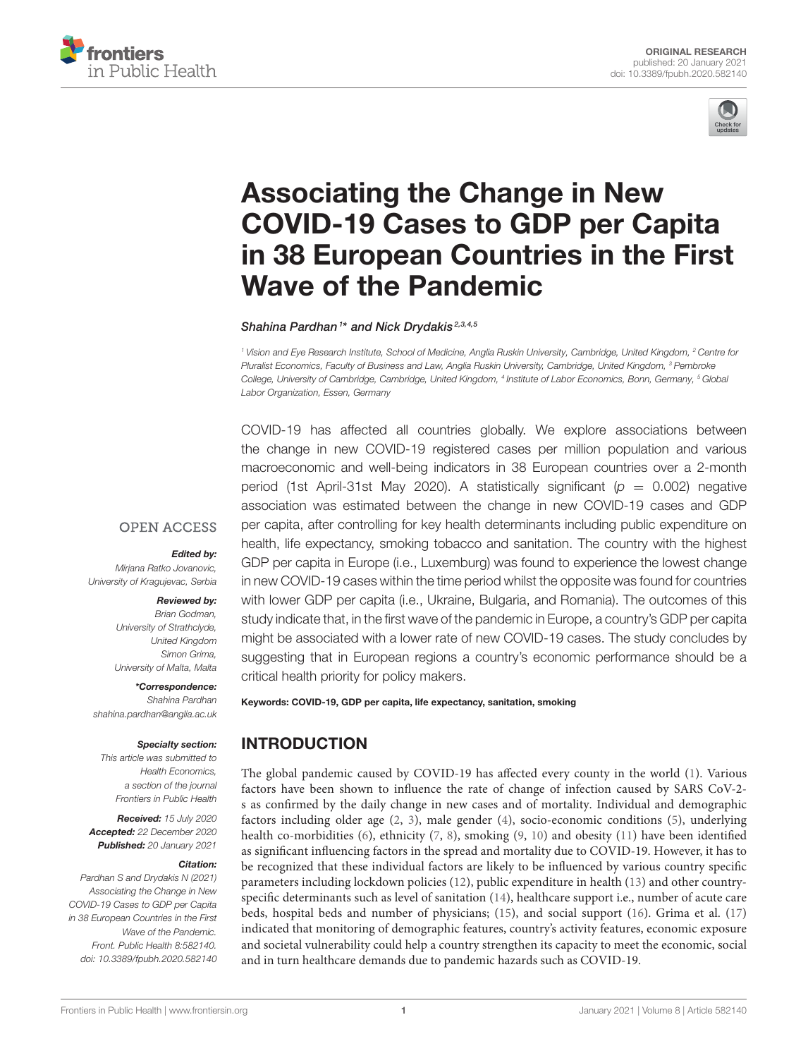



# Associating the Change in New COVID-19 Cases to GDP per Capita [in 38 European Countries in the First](https://www.frontiersin.org/articles/10.3389/fpubh.2020.582140/full) Wave of the Pandemic

Shahina Pardhan<sup>1\*</sup> and Nick Drydakis<sup>2,3,4,5</sup>

*<sup>1</sup> Vision and Eye Research Institute, School of Medicine, Anglia Ruskin University, Cambridge, United Kingdom, <sup>2</sup> Centre for Pluralist Economics, Faculty of Business and Law, Anglia Ruskin University, Cambridge, United Kingdom, <sup>3</sup> Pembroke College, University of Cambridge, Cambridge, United Kingdom, <sup>4</sup> Institute of Labor Economics, Bonn, Germany, <sup>5</sup> Global Labor Organization, Essen, Germany*

COVID-19 has affected all countries globally. We explore associations between the change in new COVID-19 registered cases per million population and various macroeconomic and well-being indicators in 38 European countries over a 2-month period (1st April-31st May 2020). A statistically significant  $(p = 0.002)$  negative association was estimated between the change in new COVID-19 cases and GDP per capita, after controlling for key health determinants including public expenditure on health, life expectancy, smoking tobacco and sanitation. The country with the highest GDP per capita in Europe (i.e., Luxemburg) was found to experience the lowest change in new COVID-19 cases within the time period whilst the opposite was found for countries with lower GDP per capita (i.e., Ukraine, Bulgaria, and Romania). The outcomes of this study indicate that, in the first wave of the pandemic in Europe, a country's GDP per capita might be associated with a lower rate of new COVID-19 cases. The study concludes by suggesting that in European regions a country's economic performance should be a critical health priority for policy makers.

Keywords: COVID-19, GDP per capita, life expectancy, sanitation, smoking

## INTRODUCTION

The global pandemic caused by COVID-19 has affected every county in the world [\(1\)](#page-5-0). Various factors have been shown to influence the rate of change of infection caused by SARS CoV-2 s as confirmed by the daily change in new cases and of mortality. Individual and demographic factors including older age [\(2,](#page-5-1) [3\)](#page-5-2), male gender [\(4\)](#page-5-3), socio-economic conditions [\(5\)](#page-5-4), underlying health co-morbidities [\(6\)](#page-6-0), ethnicity [\(7,](#page-6-1) [8\)](#page-6-2), smoking [\(9,](#page-6-3) [10\)](#page-6-4) and obesity [\(11\)](#page-6-5) have been identified as significant influencing factors in the spread and mortality due to COVID-19. However, it has to be recognized that these individual factors are likely to be influenced by various country specific parameters including lockdown policies [\(12\)](#page-6-6), public expenditure in health [\(13\)](#page-6-7) and other countryspecific determinants such as level of sanitation [\(14\)](#page-6-8), healthcare support i.e., number of acute care beds, hospital beds and number of physicians; [\(15\)](#page-6-9), and social support [\(16\)](#page-6-10). Grima et al. [\(17\)](#page-6-11) indicated that monitoring of demographic features, country's activity features, economic exposure and societal vulnerability could help a country strengthen its capacity to meet the economic, social and in turn healthcare demands due to pandemic hazards such as COVID-19.

#### **OPEN ACCESS**

#### Edited by:

*Mirjana Ratko Jovanovic, University of Kragujevac, Serbia*

#### Reviewed by:

*Brian Godman, University of Strathclyde, United Kingdom Simon Grima, University of Malta, Malta*

\*Correspondence: *Shahina Pardhan [shahina.pardhan@anglia.ac.uk](mailto:shahina.pardhan@anglia.ac.uk)*

#### Specialty section:

*This article was submitted to Health Economics, a section of the journal Frontiers in Public Health*

Received: *15 July 2020* Accepted: *22 December 2020* Published: *20 January 2021*

#### Citation:

*Pardhan S and Drydakis N (2021) Associating the Change in New COVID-19 Cases to GDP per Capita in 38 European Countries in the First Wave of the Pandemic. Front. Public Health 8:582140. doi: [10.3389/fpubh.2020.582140](https://doi.org/10.3389/fpubh.2020.582140)*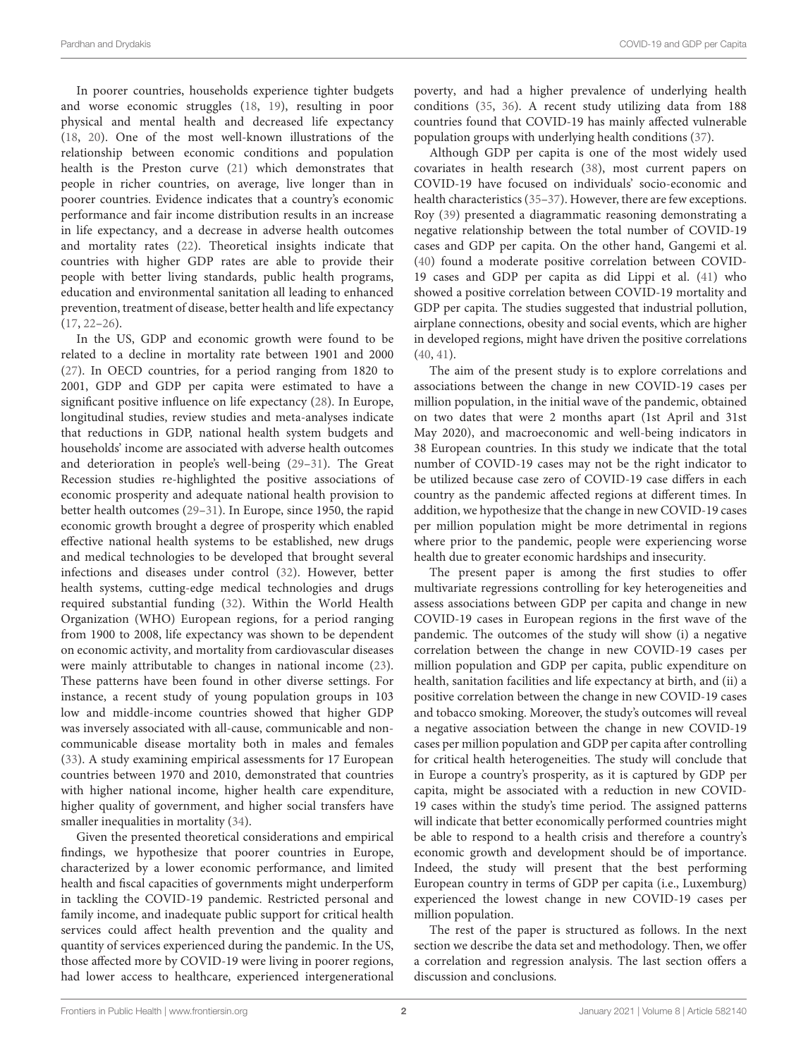In poorer countries, households experience tighter budgets and worse economic struggles [\(18,](#page-6-12) [19\)](#page-6-13), resulting in poor physical and mental health and decreased life expectancy [\(18,](#page-6-12) [20\)](#page-6-14). One of the most well-known illustrations of the relationship between economic conditions and population health is the Preston curve [\(21\)](#page-6-15) which demonstrates that people in richer countries, on average, live longer than in poorer countries. Evidence indicates that a country's economic performance and fair income distribution results in an increase in life expectancy, and a decrease in adverse health outcomes and mortality rates [\(22\)](#page-6-16). Theoretical insights indicate that countries with higher GDP rates are able to provide their people with better living standards, public health programs, education and environmental sanitation all leading to enhanced prevention, treatment of disease, better health and life expectancy [\(17,](#page-6-11) [22–](#page-6-16)[26\)](#page-6-17).

In the US, GDP and economic growth were found to be related to a decline in mortality rate between 1901 and 2000 [\(27\)](#page-6-18). In OECD countries, for a period ranging from 1820 to 2001, GDP and GDP per capita were estimated to have a significant positive influence on life expectancy [\(28\)](#page-6-19). In Europe, longitudinal studies, review studies and meta-analyses indicate that reductions in GDP, national health system budgets and households' income are associated with adverse health outcomes and deterioration in people's well-being [\(29](#page-6-20)[–31\)](#page-6-21). The Great Recession studies re-highlighted the positive associations of economic prosperity and adequate national health provision to better health outcomes [\(29–](#page-6-20)[31\)](#page-6-21). In Europe, since 1950, the rapid economic growth brought a degree of prosperity which enabled effective national health systems to be established, new drugs and medical technologies to be developed that brought several infections and diseases under control [\(32\)](#page-6-22). However, better health systems, cutting-edge medical technologies and drugs required substantial funding [\(32\)](#page-6-22). Within the World Health Organization (WHO) European regions, for a period ranging from 1900 to 2008, life expectancy was shown to be dependent on economic activity, and mortality from cardiovascular diseases were mainly attributable to changes in national income [\(23\)](#page-6-23). These patterns have been found in other diverse settings. For instance, a recent study of young population groups in 103 low and middle-income countries showed that higher GDP was inversely associated with all-cause, communicable and noncommunicable disease mortality both in males and females [\(33\)](#page-6-24). A study examining empirical assessments for 17 European countries between 1970 and 2010, demonstrated that countries with higher national income, higher health care expenditure, higher quality of government, and higher social transfers have smaller inequalities in mortality [\(34\)](#page-6-25).

Given the presented theoretical considerations and empirical findings, we hypothesize that poorer countries in Europe, characterized by a lower economic performance, and limited health and fiscal capacities of governments might underperform in tackling the COVID-19 pandemic. Restricted personal and family income, and inadequate public support for critical health services could affect health prevention and the quality and quantity of services experienced during the pandemic. In the US, those affected more by COVID-19 were living in poorer regions, had lower access to healthcare, experienced intergenerational poverty, and had a higher prevalence of underlying health conditions [\(35,](#page-6-26) [36\)](#page-6-27). A recent study utilizing data from 188 countries found that COVID-19 has mainly affected vulnerable population groups with underlying health conditions [\(37\)](#page-6-28).

Although GDP per capita is one of the most widely used covariates in health research [\(38\)](#page-6-29), most current papers on COVID-19 have focused on individuals' socio-economic and health characteristics (35-[37\)](#page-6-28). However, there are few exceptions. Roy [\(39\)](#page-6-30) presented a diagrammatic reasoning demonstrating a negative relationship between the total number of COVID-19 cases and GDP per capita. On the other hand, Gangemi et al. [\(40\)](#page-6-31) found a moderate positive correlation between COVID-19 cases and GDP per capita as did Lippi et al. [\(41\)](#page-6-32) who showed a positive correlation between COVID-19 mortality and GDP per capita. The studies suggested that industrial pollution, airplane connections, obesity and social events, which are higher in developed regions, might have driven the positive correlations [\(40,](#page-6-31) [41\)](#page-6-32).

The aim of the present study is to explore correlations and associations between the change in new COVID-19 cases per million population, in the initial wave of the pandemic, obtained on two dates that were 2 months apart (1st April and 31st May 2020), and macroeconomic and well-being indicators in 38 European countries. In this study we indicate that the total number of COVID-19 cases may not be the right indicator to be utilized because case zero of COVID-19 case differs in each country as the pandemic affected regions at different times. In addition, we hypothesize that the change in new COVID-19 cases per million population might be more detrimental in regions where prior to the pandemic, people were experiencing worse health due to greater economic hardships and insecurity.

The present paper is among the first studies to offer multivariate regressions controlling for key heterogeneities and assess associations between GDP per capita and change in new COVID-19 cases in European regions in the first wave of the pandemic. The outcomes of the study will show (i) a negative correlation between the change in new COVID-19 cases per million population and GDP per capita, public expenditure on health, sanitation facilities and life expectancy at birth, and (ii) a positive correlation between the change in new COVID-19 cases and tobacco smoking. Moreover, the study's outcomes will reveal a negative association between the change in new COVID-19 cases per million population and GDP per capita after controlling for critical health heterogeneities. The study will conclude that in Europe a country's prosperity, as it is captured by GDP per capita, might be associated with a reduction in new COVID-19 cases within the study's time period. The assigned patterns will indicate that better economically performed countries might be able to respond to a health crisis and therefore a country's economic growth and development should be of importance. Indeed, the study will present that the best performing European country in terms of GDP per capita (i.e., Luxemburg) experienced the lowest change in new COVID-19 cases per million population.

The rest of the paper is structured as follows. In the next section we describe the data set and methodology. Then, we offer a correlation and regression analysis. The last section offers a discussion and conclusions.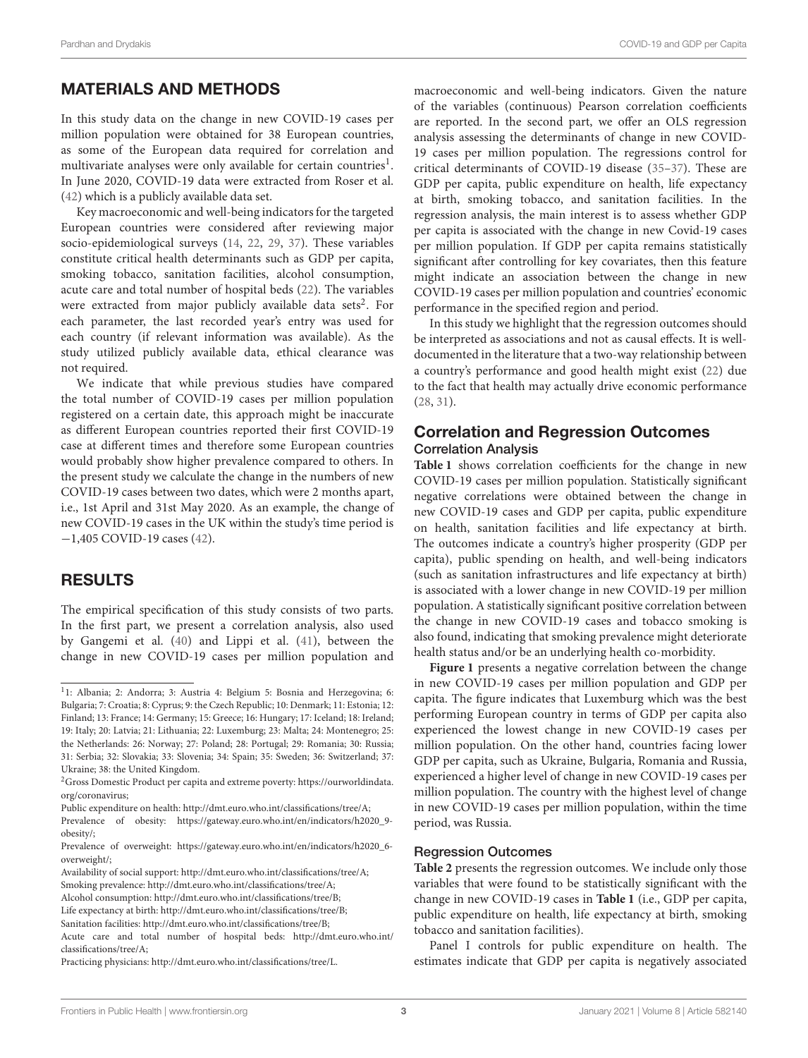# MATERIALS AND METHODS

In this study data on the change in new COVID-19 cases per million population were obtained for 38 European countries, as some of the European data required for correlation and multivariate analyses were only available for certain countries $^{\rm l}$ . In June 2020, COVID-19 data were extracted from Roser et al. [\(42\)](#page-6-33) which is a publicly available data set.

Key macroeconomic and well-being indicators for the targeted European countries were considered after reviewing major socio-epidemiological surveys [\(14,](#page-6-8) [22,](#page-6-16) [29,](#page-6-20) [37\)](#page-6-28). These variables constitute critical health determinants such as GDP per capita, smoking tobacco, sanitation facilities, alcohol consumption, acute care and total number of hospital beds [\(22\)](#page-6-16). The variables were extracted from major publicly available data sets<sup>[2](#page-2-1)</sup>. For each parameter, the last recorded year's entry was used for each country (if relevant information was available). As the study utilized publicly available data, ethical clearance was not required.

We indicate that while previous studies have compared the total number of COVID-19 cases per million population registered on a certain date, this approach might be inaccurate as different European countries reported their first COVID-19 case at different times and therefore some European countries would probably show higher prevalence compared to others. In the present study we calculate the change in the numbers of new COVID-19 cases between two dates, which were 2 months apart, i.e., 1st April and 31st May 2020. As an example, the change of new COVID-19 cases in the UK within the study's time period is −1,405 COVID-19 cases [\(42\)](#page-6-33).

#### RESULTS

The empirical specification of this study consists of two parts. In the first part, we present a correlation analysis, also used by Gangemi et al. [\(40\)](#page-6-31) and Lippi et al. [\(41\)](#page-6-32), between the change in new COVID-19 cases per million population and

Availability of social support: [http://dmt.euro.who.int/classifications/tree/A;](http://dmt.euro.who.int/classifications/tree/A) Smoking prevalence: [http://dmt.euro.who.int/classifications/tree/A;](http://dmt.euro.who.int/classifications/tree/A)

Alcohol consumption: [http://dmt.euro.who.int/classifications/tree/B;](http://dmt.euro.who.int/classifications/tree/B)

macroeconomic and well-being indicators. Given the nature of the variables (continuous) Pearson correlation coefficients are reported. In the second part, we offer an OLS regression analysis assessing the determinants of change in new COVID-19 cases per million population. The regressions control for critical determinants of COVID-19 disease [\(35](#page-6-26)[–37\)](#page-6-28). These are GDP per capita, public expenditure on health, life expectancy at birth, smoking tobacco, and sanitation facilities. In the regression analysis, the main interest is to assess whether GDP per capita is associated with the change in new Covid-19 cases per million population. If GDP per capita remains statistically significant after controlling for key covariates, then this feature might indicate an association between the change in new COVID-19 cases per million population and countries' economic performance in the specified region and period.

In this study we highlight that the regression outcomes should be interpreted as associations and not as causal effects. It is welldocumented in the literature that a two-way relationship between a country's performance and good health might exist [\(22\)](#page-6-16) due to the fact that health may actually drive economic performance [\(28,](#page-6-19) [31\)](#page-6-21).

#### Correlation and Regression Outcomes Correlation Analysis

**[Table 1](#page-3-0)** shows correlation coefficients for the change in new COVID-19 cases per million population. Statistically significant negative correlations were obtained between the change in new COVID-19 cases and GDP per capita, public expenditure on health, sanitation facilities and life expectancy at birth. The outcomes indicate a country's higher prosperity (GDP per capita), public spending on health, and well-being indicators (such as sanitation infrastructures and life expectancy at birth) is associated with a lower change in new COVID-19 per million population. A statistically significant positive correlation between the change in new COVID-19 cases and tobacco smoking is also found, indicating that smoking prevalence might deteriorate health status and/or be an underlying health co-morbidity.

**[Figure 1](#page-4-0)** presents a negative correlation between the change in new COVID-19 cases per million population and GDP per capita. The figure indicates that Luxemburg which was the best performing European country in terms of GDP per capita also experienced the lowest change in new COVID-19 cases per million population. On the other hand, countries facing lower GDP per capita, such as Ukraine, Bulgaria, Romania and Russia, experienced a higher level of change in new COVID-19 cases per million population. The country with the highest level of change in new COVID-19 cases per million population, within the time period, was Russia.

#### Regression Outcomes

**[Table 2](#page-4-1)** presents the regression outcomes. We include only those variables that were found to be statistically significant with the change in new COVID-19 cases in **[Table 1](#page-3-0)** (i.e., GDP per capita, public expenditure on health, life expectancy at birth, smoking tobacco and sanitation facilities).

Panel I controls for public expenditure on health. The estimates indicate that GDP per capita is negatively associated

<span id="page-2-0"></span><sup>&</sup>lt;sup>1</sup>1: Albania; 2: Andorra; 3: Austria 4: Belgium 5: Bosnia and Herzegovina; 6: Bulgaria; 7: Croatia; 8: Cyprus; 9: the Czech Republic; 10: Denmark; 11: Estonia; 12: Finland; 13: France; 14: Germany; 15: Greece; 16: Hungary; 17: Iceland; 18: Ireland; 19: Italy; 20: Latvia; 21: Lithuania; 22: Luxemburg; 23: Malta; 24: Montenegro; 25: the Netherlands: 26: Norway; 27: Poland; 28: Portugal; 29: Romania; 30: Russia; 31: Serbia; 32: Slovakia; 33: Slovenia; 34: Spain; 35: Sweden; 36: Switzerland; 37: Ukraine; 38: the United Kingdom.

<span id="page-2-1"></span><sup>&</sup>lt;sup>2</sup> Gross Domestic Product per capita and extreme poverty: [https://ourworldindata.](https://ourworldindata.org/coronavirus) [org/coronavirus;](https://ourworldindata.org/coronavirus)

Public expenditure on health: [http://dmt.euro.who.int/classifications/tree/A;](http://dmt.euro.who.int/classifications/tree/A)

Prevalence of obesity: [https://gateway.euro.who.int/en/indicators/h2020\\_9](https://gateway.euro.who.int/en/indicators/h2020_9-obesity/) [obesity/;](https://gateway.euro.who.int/en/indicators/h2020_9-obesity/)

Prevalence of overweight: [https://gateway.euro.who.int/en/indicators/h2020\\_6](https://gateway.euro.who.int/en/indicators/h2020_6-overweight/) [overweight/;](https://gateway.euro.who.int/en/indicators/h2020_6-overweight/)

Life expectancy at birth: [http://dmt.euro.who.int/classifications/tree/B;](http://dmt.euro.who.int/classifications/tree/B)

Sanitation facilities: [http://dmt.euro.who.int/classifications/tree/B;](http://dmt.euro.who.int/classifications/tree/B)

Acute care and total number of hospital beds: [http://dmt.euro.who.int/](http://dmt.euro.who.int/classifications/tree/A) [classifications/tree/A;](http://dmt.euro.who.int/classifications/tree/A)

Practicing physicians: [http://dmt.euro.who.int/classifications/tree/L.](http://dmt.euro.who.int/classifications/tree/L)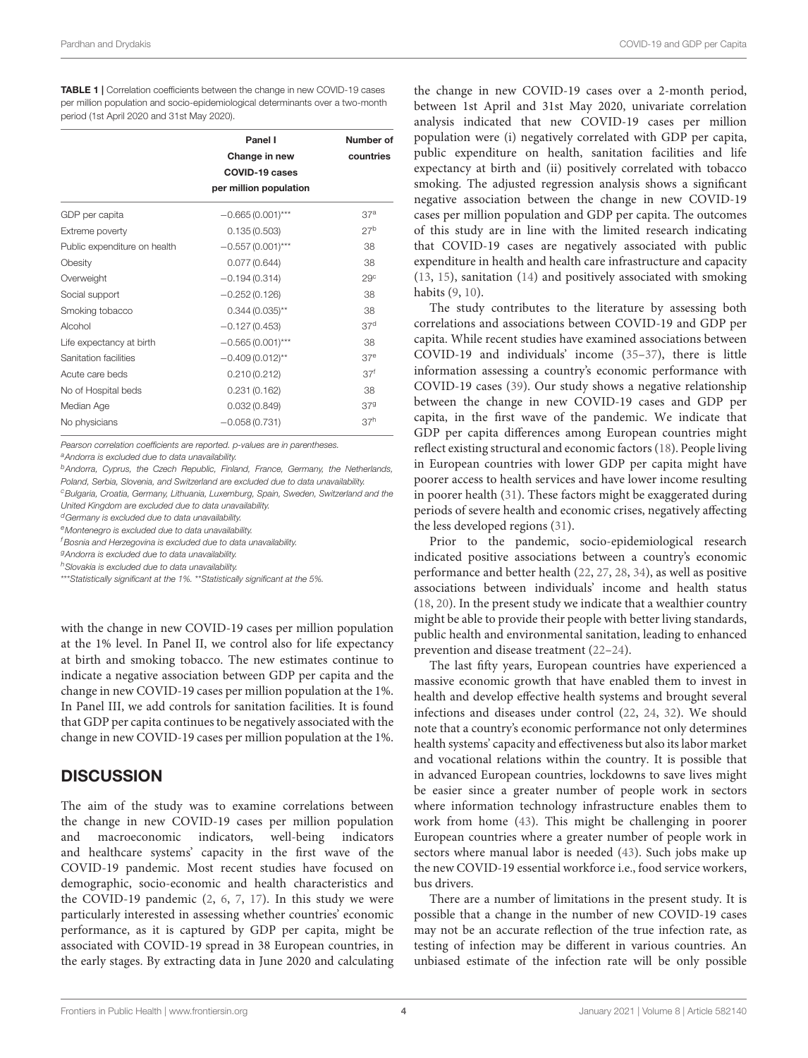Pardhan and Drydakis COVID-19 and GDP per Capita

<span id="page-3-0"></span>TABLE 1 | Correlation coefficients between the change in new COVID-19 cases per million population and socio-epidemiological determinants over a two-month period (1st April 2020 and 31st May 2020).

|                              | Panel I<br>Change in new<br>COVID-19 cases | Number of<br>countries |  |
|------------------------------|--------------------------------------------|------------------------|--|
|                              | per million population                     |                        |  |
| GDP per capita               | $-0.665(0.001)***$                         | 37 <sup>a</sup>        |  |
| Extreme poverty              | 0.135(0.503)                               | 27 <sup>b</sup>        |  |
| Public expenditure on health | $-0.557(0.001)***$                         | 38                     |  |
| Obesity                      | 0.077(0.644)                               | 38                     |  |
| Overweight                   | $-0.194(0.314)$                            | 29 <sup>c</sup>        |  |
| Social support               | $-0.252(0.126)$                            | 38                     |  |
| Smoking tobacco              | $0.344(0.035)$ **                          | 38                     |  |
| Alcohol                      | $-0.127(0.453)$                            | 37 <sup>d</sup>        |  |
| Life expectancy at birth     | $-0.565(0.001)***$                         | 38                     |  |
| Sanitation facilities        | $-0.409(0.012)$ **                         | 37 <sup>e</sup>        |  |
| Acute care beds              | 0.210(0.212)                               | 37 <sup>f</sup>        |  |
| No of Hospital beds          | 0.231(0.162)                               | 38                     |  |
| Median Age                   | 0.032(0.849)                               | 379                    |  |
| No physicians                | $-0.058(0.731)$                            | 37 <sup>h</sup>        |  |

*Pearson correlation coefficients are reported. p-values are in parentheses.*

*<sup>a</sup>Andorra is excluded due to data unavailability.*

*<sup>b</sup>Andorra, Cyprus, the Czech Republic, Finland, France, Germany, the Netherlands, Poland, Serbia, Slovenia, and Switzerland are excluded due to data unavailability. <sup>c</sup>Bulgaria, Croatia, Germany, Lithuania, Luxemburg, Spain, Sweden, Switzerland and the*

*United Kingdom are excluded due to data unavailability.*

*<sup>d</sup>Germany is excluded due to data unavailability.*

*<sup>e</sup>Montenegro is excluded due to data unavailability.*

*<sup>f</sup>Bosnia and Herzegovina is excluded due to data unavailability.*

*<sup>g</sup>Andorra is excluded due to data unavailability.*

*<sup>h</sup>Slovakia is excluded due to data unavailability.*

\*\*\**Statistically significant at the 1%.* \*\**Statistically significant at the 5%.*

with the change in new COVID-19 cases per million population at the 1% level. In Panel II, we control also for life expectancy at birth and smoking tobacco. The new estimates continue to indicate a negative association between GDP per capita and the change in new COVID-19 cases per million population at the 1%. In Panel III, we add controls for sanitation facilities. It is found that GDP per capita continues to be negatively associated with the change in new COVID-19 cases per million population at the 1%.

## **DISCUSSION**

The aim of the study was to examine correlations between the change in new COVID-19 cases per million population and macroeconomic indicators, well-being indicators and healthcare systems' capacity in the first wave of the COVID-19 pandemic. Most recent studies have focused on demographic, socio-economic and health characteristics and the COVID-19 pandemic [\(2,](#page-5-1) [6,](#page-6-0) [7,](#page-6-1) [17\)](#page-6-11). In this study we were particularly interested in assessing whether countries' economic performance, as it is captured by GDP per capita, might be associated with COVID-19 spread in 38 European countries, in the early stages. By extracting data in June 2020 and calculating the change in new COVID-19 cases over a 2-month period, between 1st April and 31st May 2020, univariate correlation analysis indicated that new COVID-19 cases per million population were (i) negatively correlated with GDP per capita, public expenditure on health, sanitation facilities and life expectancy at birth and (ii) positively correlated with tobacco smoking. The adjusted regression analysis shows a significant negative association between the change in new COVID-19 cases per million population and GDP per capita. The outcomes of this study are in line with the limited research indicating that COVID-19 cases are negatively associated with public expenditure in health and health care infrastructure and capacity [\(13,](#page-6-7) [15\)](#page-6-9), sanitation [\(14\)](#page-6-8) and positively associated with smoking habits [\(9,](#page-6-3) [10\)](#page-6-4).

The study contributes to the literature by assessing both correlations and associations between COVID-19 and GDP per capita. While recent studies have examined associations between COVID-19 and individuals' income [\(35](#page-6-26)[–37\)](#page-6-28), there is little information assessing a country's economic performance with COVID-19 cases [\(39\)](#page-6-30). Our study shows a negative relationship between the change in new COVID-19 cases and GDP per capita, in the first wave of the pandemic. We indicate that GDP per capita differences among European countries might reflect existing structural and economic factors [\(18\)](#page-6-12). People living in European countries with lower GDP per capita might have poorer access to health services and have lower income resulting in poorer health [\(31\)](#page-6-21). These factors might be exaggerated during periods of severe health and economic crises, negatively affecting the less developed regions [\(31\)](#page-6-21).

Prior to the pandemic, socio-epidemiological research indicated positive associations between a country's economic performance and better health [\(22,](#page-6-16) [27,](#page-6-18) [28,](#page-6-19) [34\)](#page-6-25), as well as positive associations between individuals' income and health status [\(18,](#page-6-12) [20\)](#page-6-14). In the present study we indicate that a wealthier country might be able to provide their people with better living standards, public health and environmental sanitation, leading to enhanced prevention and disease treatment [\(22](#page-6-16)[–24\)](#page-6-34).

The last fifty years, European countries have experienced a massive economic growth that have enabled them to invest in health and develop effective health systems and brought several infections and diseases under control [\(22,](#page-6-16) [24,](#page-6-34) [32\)](#page-6-22). We should note that a country's economic performance not only determines health systems' capacity and effectiveness but also its labor market and vocational relations within the country. It is possible that in advanced European countries, lockdowns to save lives might be easier since a greater number of people work in sectors where information technology infrastructure enables them to work from home [\(43\)](#page-6-35). This might be challenging in poorer European countries where a greater number of people work in sectors where manual labor is needed [\(43\)](#page-6-35). Such jobs make up the new COVID-19 essential workforce i.e., food service workers, bus drivers.

There are a number of limitations in the present study. It is possible that a change in the number of new COVID-19 cases may not be an accurate reflection of the true infection rate, as testing of infection may be different in various countries. An unbiased estimate of the infection rate will be only possible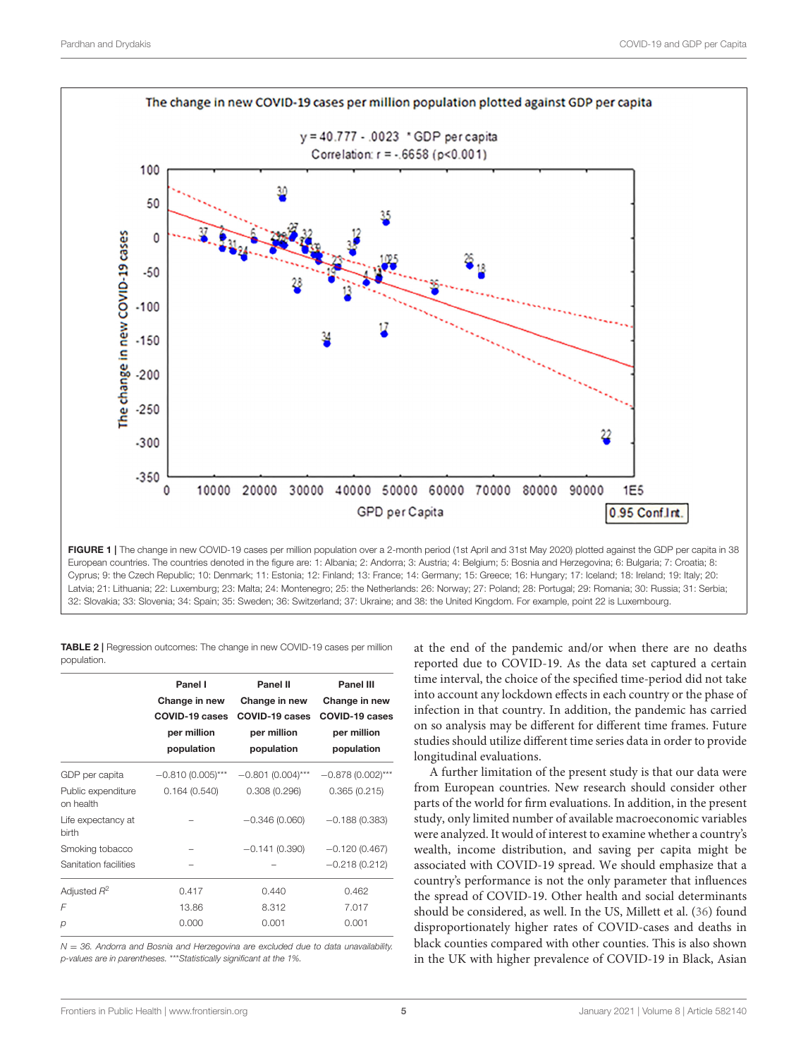

<span id="page-4-0"></span>European countries. The countries denoted in the figure are: 1: Albania; 2: Andorra; 3: Austria; 4: Belgium; 5: Bosnia and Herzegovina; 6: Bulgaria; 7: Croatia; 8: Cyprus; 9: the Czech Republic; 10: Denmark; 11: Estonia; 12: Finland; 13: France; 14: Germany; 15: Greece; 16: Hungary; 17: Iceland; 18: Ireland; 19: Italy; 20: Latvia; 21: Lithuania; 22: Luxemburg; 23: Malta; 24: Montenegro; 25: the Netherlands: 26: Norway; 27: Poland; 28: Portugal; 29: Romania; 30: Russia; 31: Serbia; 32: Slovakia; 33: Slovenia; 34: Spain; 35: Sweden; 36: Switzerland; 37: Ukraine; and 38: the United Kingdom. For example, point 22 is Luxembourg.

<span id="page-4-1"></span>TABLE 2 | Regression outcomes: The change in new COVID-19 cases per million population.

|                                 | Panel I<br>Change in new<br>COVID-19 cases<br>per million<br>population | Panel II<br>Change in new<br>COVID-19 cases<br>per million<br>population | Panel III<br>Change in new<br>COVID-19 cases<br>per million<br>population |
|---------------------------------|-------------------------------------------------------------------------|--------------------------------------------------------------------------|---------------------------------------------------------------------------|
| GDP per capita                  | $-0.810(0.005)***$                                                      | $-0.801(0.004)***$                                                       | $-0.878(0.002)***$                                                        |
| Public expenditure<br>on health | 0.164(0.540)                                                            | 0.308(0.296)                                                             | 0.365(0.215)                                                              |
| Life expectancy at<br>birth     |                                                                         | $-0.346(0.060)$                                                          | $-0.188(0.383)$                                                           |
| Smoking tobacco                 |                                                                         | $-0.141(0.390)$                                                          | $-0.120(0.467)$                                                           |
| Sanitation facilities           |                                                                         |                                                                          | $-0.218(0.212)$                                                           |
| Adjusted $R^2$                  | 0.417                                                                   | 0.440                                                                    | 0.462                                                                     |
| F                               | 13.86                                                                   | 8.312                                                                    | 7.017                                                                     |
| p                               | 0.000                                                                   | 0.001                                                                    | 0.001                                                                     |

*N* = *36. Andorra and Bosnia and Herzegovina are excluded due to data unavailability. p-values are in parentheses.* \*\*\**Statistically significant at the 1%.*

at the end of the pandemic and/or when there are no deaths reported due to COVID-19. As the data set captured a certain time interval, the choice of the specified time-period did not take into account any lockdown effects in each country or the phase of infection in that country. In addition, the pandemic has carried on so analysis may be different for different time frames. Future studies should utilize different time series data in order to provide longitudinal evaluations.

A further limitation of the present study is that our data were from European countries. New research should consider other parts of the world for firm evaluations. In addition, in the present study, only limited number of available macroeconomic variables were analyzed. It would of interest to examine whether a country's wealth, income distribution, and saving per capita might be associated with COVID-19 spread. We should emphasize that a country's performance is not the only parameter that influences the spread of COVID-19. Other health and social determinants should be considered, as well. In the US, Millett et al. [\(36\)](#page-6-27) found disproportionately higher rates of COVID-cases and deaths in black counties compared with other counties. This is also shown in the UK with higher prevalence of COVID-19 in Black, Asian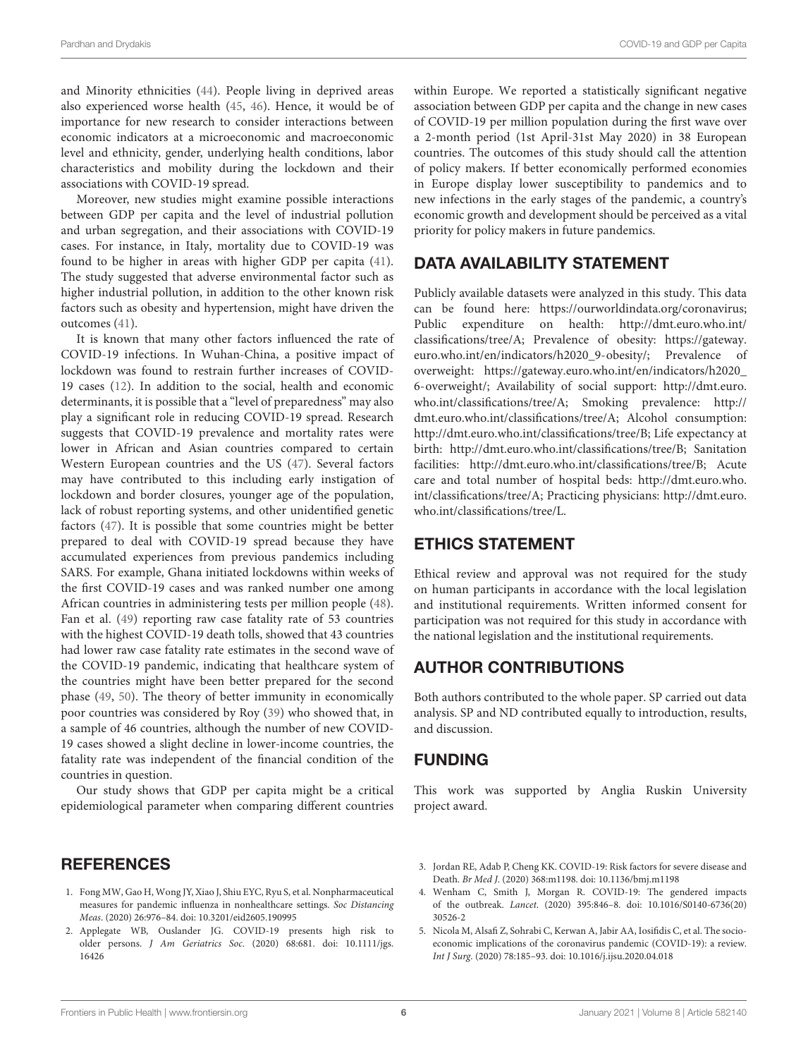and Minority ethnicities [\(44\)](#page-6-36). People living in deprived areas also experienced worse health [\(45,](#page-6-37) [46\)](#page-6-38). Hence, it would be of importance for new research to consider interactions between economic indicators at a microeconomic and macroeconomic level and ethnicity, gender, underlying health conditions, labor characteristics and mobility during the lockdown and their associations with COVID-19 spread.

Moreover, new studies might examine possible interactions between GDP per capita and the level of industrial pollution and urban segregation, and their associations with COVID-19 cases. For instance, in Italy, mortality due to COVID-19 was found to be higher in areas with higher GDP per capita [\(41\)](#page-6-32). The study suggested that adverse environmental factor such as higher industrial pollution, in addition to the other known risk factors such as obesity and hypertension, might have driven the outcomes [\(41\)](#page-6-32).

It is known that many other factors influenced the rate of COVID-19 infections. In Wuhan-China, a positive impact of lockdown was found to restrain further increases of COVID-19 cases [\(12\)](#page-6-6). In addition to the social, health and economic determinants, it is possible that a "level of preparedness" may also play a significant role in reducing COVID-19 spread. Research suggests that COVID-19 prevalence and mortality rates were lower in African and Asian countries compared to certain Western European countries and the US [\(47\)](#page-6-39). Several factors may have contributed to this including early instigation of lockdown and border closures, younger age of the population, lack of robust reporting systems, and other unidentified genetic factors [\(47\)](#page-6-39). It is possible that some countries might be better prepared to deal with COVID-19 spread because they have accumulated experiences from previous pandemics including SARS. For example, Ghana initiated lockdowns within weeks of the first COVID-19 cases and was ranked number one among African countries in administering tests per million people [\(48\)](#page-7-0). Fan et al. [\(49\)](#page-7-1) reporting raw case fatality rate of 53 countries with the highest COVID-19 death tolls, showed that 43 countries had lower raw case fatality rate estimates in the second wave of the COVID-19 pandemic, indicating that healthcare system of the countries might have been better prepared for the second phase [\(49,](#page-7-1) [50\)](#page-7-2). The theory of better immunity in economically poor countries was considered by Roy [\(39\)](#page-6-30) who showed that, in a sample of 46 countries, although the number of new COVID-19 cases showed a slight decline in lower-income countries, the fatality rate was independent of the financial condition of the countries in question.

Our study shows that GDP per capita might be a critical epidemiological parameter when comparing different countries

#### **REFERENCES**

- <span id="page-5-0"></span>1. Fong MW, Gao H, Wong JY, Xiao J, Shiu EYC, Ryu S, et al. Nonpharmaceutical measures for pandemic influenza in nonhealthcare settings. Soc Distancing Meas. (2020) 26:976–84. doi: [10.3201/eid2605.190995](https://doi.org/10.3201/eid2605.190995)
- <span id="page-5-1"></span>2. Applegate WB, Ouslander JG. COVID-19 presents high risk to older persons. J Am Geriatrics Soc[. \(2020\) 68:681. doi: 10.1111/jgs.](https://doi.org/10.1111/jgs.16426) 16426

within Europe. We reported a statistically significant negative association between GDP per capita and the change in new cases of COVID-19 per million population during the first wave over a 2-month period (1st April-31st May 2020) in 38 European countries. The outcomes of this study should call the attention of policy makers. If better economically performed economies in Europe display lower susceptibility to pandemics and to new infections in the early stages of the pandemic, a country's economic growth and development should be perceived as a vital priority for policy makers in future pandemics.

# DATA AVAILABILITY STATEMENT

Publicly available datasets were analyzed in this study. This data can be found here: [https://ourworldindata.org/coronavirus;](https://ourworldindata.org/coronavirus) Public expenditure on health: [http://dmt.euro.who.int/](http://dmt.euro.who.int/classifications/tree/A) [classifications/tree/A;](http://dmt.euro.who.int/classifications/tree/A) Prevalence of obesity: [https://gateway.](https://gateway.euro.who.int/en/indicators/h2020_9-obesity/) [euro.who.int/en/indicators/h2020\\_9-obesity/;](https://gateway.euro.who.int/en/indicators/h2020_9-obesity/) Prevalence of overweight: [https://gateway.euro.who.int/en/indicators/h2020\\_](https://gateway.euro.who.int/en/indicators/h2020_6-overweight/) [6-overweight/;](https://gateway.euro.who.int/en/indicators/h2020_6-overweight/) Availability of social support: [http://dmt.euro.](http://dmt.euro.who.int/classifications/tree/A) [who.int/classifications/tree/A;](http://dmt.euro.who.int/classifications/tree/A) Smoking prevalence: [http://](http://dmt.euro.who.int/classifications/tree/A) [dmt.euro.who.int/classifications/tree/A;](http://dmt.euro.who.int/classifications/tree/A) Alcohol consumption: [http://dmt.euro.who.int/classifications/tree/B;](http://dmt.euro.who.int/classifications/tree/B) Life expectancy at birth: [http://dmt.euro.who.int/classifications/tree/B;](http://dmt.euro.who.int/classifications/tree/B) Sanitation facilities: [http://dmt.euro.who.int/classifications/tree/B;](http://dmt.euro.who.int/classifications/tree/B) Acute care and total number of hospital beds: [http://dmt.euro.who.](http://dmt.euro.who.int/classifications/tree/A) [int/classifications/tree/A;](http://dmt.euro.who.int/classifications/tree/A) Practicing physicians: [http://dmt.euro.](http://dmt.euro.who.int/classifications/tree/L) [who.int/classifications/tree/L.](http://dmt.euro.who.int/classifications/tree/L)

## ETHICS STATEMENT

Ethical review and approval was not required for the study on human participants in accordance with the local legislation and institutional requirements. Written informed consent for participation was not required for this study in accordance with the national legislation and the institutional requirements.

## AUTHOR CONTRIBUTIONS

Both authors contributed to the whole paper. SP carried out data analysis. SP and ND contributed equally to introduction, results, and discussion.

## FUNDING

This work was supported by Anglia Ruskin University project award.

- <span id="page-5-2"></span>3. Jordan RE, Adab P, Cheng KK. COVID-19: Risk factors for severe disease and Death. Br Med J. (2020) 368:m1198. doi: [10.1136/bmj.m1198](https://doi.org/10.1136/bmj.m1198)
- <span id="page-5-3"></span>4. Wenham C, Smith J, Morgan R. COVID-19: The gendered impacts of the outbreak. Lancet[. \(2020\) 395:846–8. doi: 10.1016/S0140-6736\(20\)](https://doi.org/10.1016/S0140-6736(20)30526-2) 30526-2
- <span id="page-5-4"></span>5. Nicola M, Alsafi Z, Sohrabi C, Kerwan A, Jabir AA, Iosifidis C, et al. The socioeconomic implications of the coronavirus pandemic (COVID-19): a review. Int J Surg. (2020) 78:185–93. doi: [10.1016/j.ijsu.2020.04.018](https://doi.org/10.1016/j.ijsu.2020.04.018)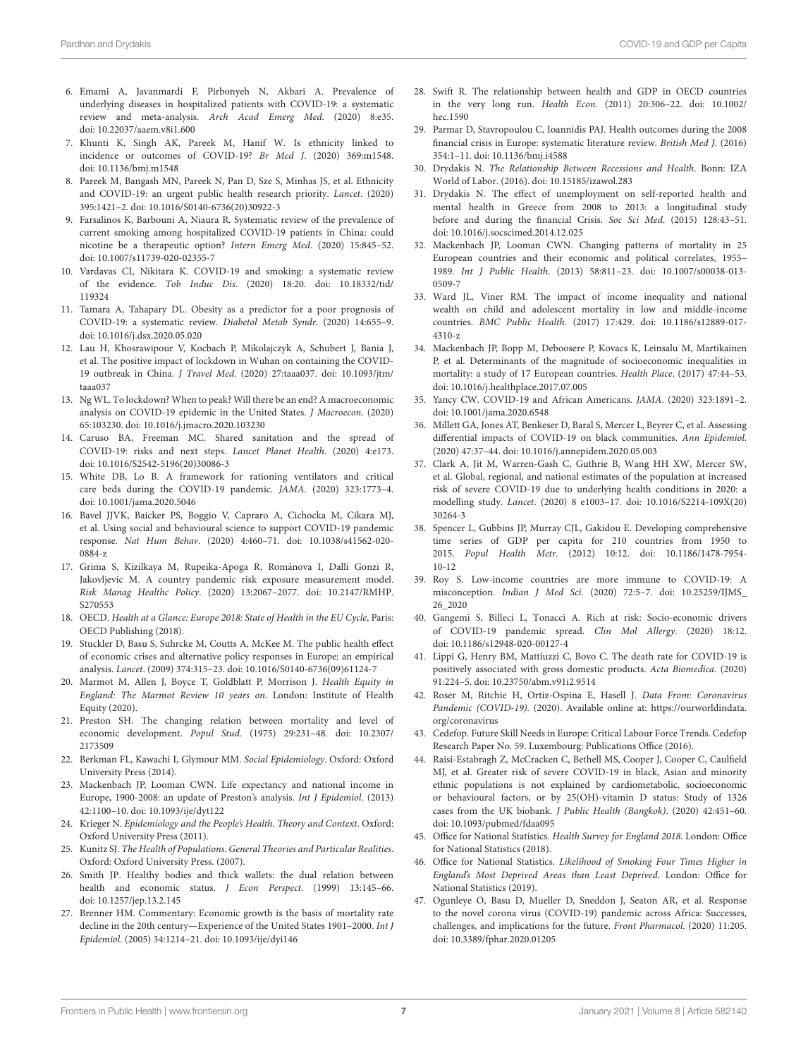- <span id="page-6-0"></span>6. Emami A, Javanmardi F, Pirbonyeh N, Akbari A. Prevalence of underlying diseases in hospitalized patients with COVID-19: a systematic review and meta-analysis. Arch Acad Emerg Med. (2020) 8:e35. doi: [10.22037/aaem.v8i1.600](https://doi.org/10.22037/aaem.v8i1.600)
- <span id="page-6-1"></span>7. Khunti K, Singh AK, Pareek M, Hanif W. Is ethnicity linked to incidence or outcomes of COVID-19? Br Med J. (2020) 369:m1548. doi: [10.1136/bmj.m1548](https://doi.org/10.1136/bmj.m1548)
- <span id="page-6-2"></span>8. Pareek M, Bangash MN, Pareek N, Pan D, Sze S, Minhas JS, et al. Ethnicity and COVID-19: an urgent public health research priority. Lancet. (2020) 395:1421–2. doi: [10.1016/S0140-6736\(20\)30922-3](https://doi.org/10.1016/S0140-6736(20)30922-3)
- <span id="page-6-3"></span>9. Farsalinos K, Barbouni A, Niaura R. Systematic review of the prevalence of current smoking among hospitalized COVID-19 patients in China: could nicotine be a therapeutic option? Intern Emerg Med. (2020) 15:845–52. doi: [10.1007/s11739-020-02355-7](https://doi.org/10.1007/s11739-020-02355-7)
- <span id="page-6-4"></span>10. Vardavas CI, Nikitara K. COVID-19 and smoking: a systematic review of the evidence. Tob Induc Dis[. \(2020\) 18:20. doi: 10.18332/tid/](https://doi.org/10.18332/tid/119324) 119324
- <span id="page-6-5"></span>11. Tamara A, Tahapary DL. Obesity as a predictor for a poor prognosis of COVID-19: a systematic review. Diabetol Metab Syndr. (2020) 14:655–9. doi: [10.1016/j.dsx.2020.05.020](https://doi.org/10.1016/j.dsx.2020.05.020)
- <span id="page-6-6"></span>12. Lau H, Khosrawipour V, Kocbach P, Mikolajczyk A, Schubert J, Bania J, et al. The positive impact of lockdown in Wuhan on containing the COVID-19 outbreak in China. J Travel Med[. \(2020\) 27:taaa037. doi: 10.1093/jtm/](https://doi.org/10.1093/jtm/taaa037) taaa037
- <span id="page-6-7"></span>13. Ng WL. To lockdown? When to peak? Will there be an end? A macroeconomic analysis on COVID-19 epidemic in the United States. J Macroecon. (2020) 65:103230. doi: [10.1016/j.jmacro.2020.103230](https://doi.org/10.1016/j.jmacro.2020.103230)
- <span id="page-6-8"></span>14. Caruso BA, Freeman MC. Shared sanitation and the spread of COVID-19: risks and next steps. Lancet Planet Health. (2020) 4:e173. doi: [10.1016/S2542-5196\(20\)30086-3](https://doi.org/10.1016/S2542-5196(20)30086-3)
- <span id="page-6-9"></span>15. White DB, Lo B. A framework for rationing ventilators and critical care beds during the COVID-19 pandemic. JAMA. (2020) 323:1773–4. doi: [10.1001/jama.2020.5046](https://doi.org/10.1001/jama.2020.5046)
- <span id="page-6-10"></span>16. Bavel JJVK, Baicker PS, Boggio V, Capraro A, Cichocka M, Cikara MJ, et al. Using social and behavioural science to support COVID-19 pandemic response. Nat Hum Behav[. \(2020\) 4:460–71. doi: 10.1038/s41562-020-](https://doi.org/10.1038/s41562-020-0884-z) 0884-z
- <span id="page-6-11"></span>17. Grima S, Kizilkaya M, Rupeika-Apoga R, Romanova I, Dalli Gonzi R, ¯ Jakovljevic M. A country pandemic risk exposure measurement model. Risk Manag Healthc Policy[. \(2020\) 13:2067–2077. doi: 10.2147/RMHP.](https://doi.org/10.2147/RMHP.S270553) S270553
- <span id="page-6-12"></span>18. OECD. Health at a Glance: Europe 2018: State of Health in the EU Cycle, Paris: OECD Publishing (2018).
- <span id="page-6-13"></span>19. Stuckler D, Basu S, Suhrcke M, Coutts A, McKee M. The public health effect of economic crises and alternative policy responses in Europe: an empirical analysis. Lancet. (2009) 374:315–23. doi: [10.1016/S0140-6736\(09\)61124-7](https://doi.org/10.1016/S0140-6736(09)61124-7)
- <span id="page-6-14"></span>20. Marmot M, Allen J, Boyce T, Goldblatt P, Morrison J. Health Equity in England: The Marmot Review 10 years on. London: Institute of Health Equity (2020).
- <span id="page-6-15"></span>21. Preston SH. The changing relation between mortality and level of economic development. Popul Stud[. \(1975\) 29:231–48. doi: 10.2307/](https://doi.org/10.2307/2173509) 2173509
- <span id="page-6-16"></span>22. Berkman FL, Kawachi I, Glymour MM. Social Epidemiology. Oxford: Oxford University Press (2014).
- <span id="page-6-23"></span>23. Mackenbach JP, Looman CWN. Life expectancy and national income in Europe, 1900-2008: an update of Preston's analysis. Int J Epidemiol. (2013) 42:1100–10. doi: [10.1093/ije/dyt122](https://doi.org/10.1093/ije/dyt122)
- <span id="page-6-34"></span>24. Krieger N. Epidemiology and the People's Health. Theory and Context. Oxford: Oxford University Press (2011).
- 25. Kunitz SJ. The Health of Populations. General Theories and Particular Realities. Oxford: Oxford University Press. (2007).
- <span id="page-6-17"></span>26. Smith JP. Healthy bodies and thick wallets: the dual relation between health and economic status. *J Econ Perspect*. (1999) 13:145-66. doi: [10.1257/jep.13.2.145](https://doi.org/10.1257/jep.13.2.145)
- <span id="page-6-18"></span>27. Brenner HM. Commentary: Economic growth is the basis of mortality rate decline in the 20th century—Experience of the United States 1901–2000. Int J Epidemiol. (2005) 34:1214–21. doi: [10.1093/ije/dyi146](https://doi.org/10.1093/ije/dyi146)
- <span id="page-6-19"></span>28. Swift R. The relationship between health and GDP in OECD countries in the very long run. Health Econ[. \(2011\) 20:306–22. doi: 10.1002/](https://doi.org/10.1002/hec.1590) hec.1590
- <span id="page-6-20"></span>29. Parmar D, Stavropoulou C, Ioannidis PAJ. Health outcomes during the 2008 financial crisis in Europe: systematic literature review. British Med J. (2016) 354:1–11. doi: [10.1136/bmj.i4588](https://doi.org/10.1136/bmj.i4588)
- 30. Drydakis N. The Relationship Between Recessions and Health. Bonn: IZA World of Labor. (2016). doi: [10.15185/izawol.283](https://doi.org/10.15185/izawol.283)
- <span id="page-6-21"></span>31. Drydakis N. The effect of unemployment on self-reported health and mental health in Greece from 2008 to 2013: a longitudinal study before and during the financial Crisis. Soc Sci Med. (2015) 128:43–51. doi: [10.1016/j.socscimed.2014.12.025](https://doi.org/10.1016/j.socscimed.2014.12.025)
- <span id="page-6-22"></span>32. Mackenbach JP, Looman CWN. Changing patterns of mortality in 25 European countries and their economic and political correlates, 1955– 1989. Int J Public Health[. \(2013\) 58:811–23. doi: 10.1007/s00038-013-](https://doi.org/10.1007/s00038-013-0509-7) 0509-7
- <span id="page-6-24"></span>33. Ward JL, Viner RM. The impact of income inequality and national wealth on child and adolescent mortality in low and middle-income countries. BMC Public Health[. \(2017\) 17:429. doi: 10.1186/s12889-017-](https://doi.org/10.1186/s12889-017-4310-z) 4310-z
- <span id="page-6-25"></span>34. Mackenbach JP, Bopp M, Deboosere P, Kovacs K, Leinsalu M, Martikainen P, et al. Determinants of the magnitude of socioeconomic inequalities in mortality: a study of 17 European countries. Health Place. (2017) 47:44–53. doi: [10.1016/j.healthplace.2017.07.005](https://doi.org/10.1016/j.healthplace.2017.07.005)
- <span id="page-6-26"></span>35. Yancy CW. COVID-19 and African Americans. JAMA. (2020) 323:1891–2. doi: [10.1001/jama.2020.6548](https://doi.org/10.1001/jama.2020.6548)
- <span id="page-6-27"></span>36. Millett GA, Jones AT, Benkeser D, Baral S, Mercer L, Beyrer C, et al. Assessing differential impacts of COVID-19 on black communities. Ann Epidemiol. (2020) 47:37–44. doi: [10.1016/j.annepidem.2020.05.003](https://doi.org/10.1016/j.annepidem.2020.05.003)
- <span id="page-6-28"></span>37. Clark A, Jit M, Warren-Gash C, Guthrie B, Wang HH XW, Mercer SW, et al. Global, regional, and national estimates of the population at increased risk of severe COVID-19 due to underlying health conditions in 2020: a modelling study. Lancet[. \(2020\) 8 e1003–17. doi: 10.1016/S2214-109X\(20\)](https://doi.org/10.1016/S2214-109X(20)30264-3) 30264-3
- <span id="page-6-29"></span>38. Spencer L, Gubbins JP, Murray CJL, Gakidou E. Developing comprehensive time series of GDP per capita for 210 countries from 1950 to 2015. Popul Health Metr[. \(2012\) 10:12. doi: 10.1186/1478-7954-](https://doi.org/10.1186/1478-7954-10-12) 10-12
- <span id="page-6-30"></span>39. Roy S. Low-income countries are more immune to COVID-19: A misconception. Indian J Med Sci[. \(2020\) 72:5–7. doi: 10.25259/IJMS\\_](https://doi.org/10.25259/IJMS_26_2020) 26\_2020
- <span id="page-6-31"></span>40. Gangemi S, Billeci L, Tonacci A. Rich at risk: Socio-economic drivers of COVID-19 pandemic spread. Clin Mol Allergy. (2020) 18:12. doi: [10.1186/s12948-020-00127-4](https://doi.org/10.1186/s12948-020-00127-4)
- <span id="page-6-32"></span>41. Lippi G, Henry BM, Mattiuzzi C, Bovo C. The death rate for COVID-19 is positively associated with gross domestic products. Acta Biomedica. (2020) 91:224–5. doi: [10.23750/abm.v91i2.9514](https://doi.org/10.23750/abm.v91i2.9514)
- <span id="page-6-33"></span>42. Roser M, Ritchie H, Ortiz-Ospina E, Hasell J. Data From: Coronavirus Pandemic (COVID-19). (2020). Available online at: [https://ourworldindata.](https://ourworldindata.org/coronavirus) [org/coronavirus](https://ourworldindata.org/coronavirus)
- <span id="page-6-35"></span>43. Cedefop. Future Skill Needs in Europe: Critical Labour Force Trends. Cedefop Research Paper No. 59. Luxembourg: Publications Office (2016).
- <span id="page-6-36"></span>44. Raisi-Estabragh Z, McCracken C, Bethell MS, Cooper J, Cooper C, Caulfield MJ, et al. Greater risk of severe COVID-19 in black, Asian and minority ethnic populations is not explained by cardiometabolic, socioeconomic or behavioural factors, or by 25(OH)-vitamin D status: Study of 1326 cases from the UK biobank. J Public Health (Bangkok). (2020) 42:451–60. doi: [10.1093/pubmed/fdaa095](https://doi.org/10.1093/pubmed/fdaa095)
- <span id="page-6-37"></span>45. Office for National Statistics. Health Survey for England 2018. London: Office for National Statistics (2018).
- <span id="page-6-38"></span>46. Office for National Statistics. Likelihood of Smoking Four Times Higher in England's Most Deprived Areas than Least Deprived. London: Office for National Statistics (2019).
- <span id="page-6-39"></span>47. Ogunleye O, Basu D, Mueller D, Sneddon J, Seaton AR, et al. Response to the novel corona virus (COVID-19) pandemic across Africa: Successes, challenges, and implications for the future. Front Pharmacol. (2020) 11:205. doi: [10.3389/fphar.2020.01205](https://doi.org/10.3389/fphar.2020.01205)